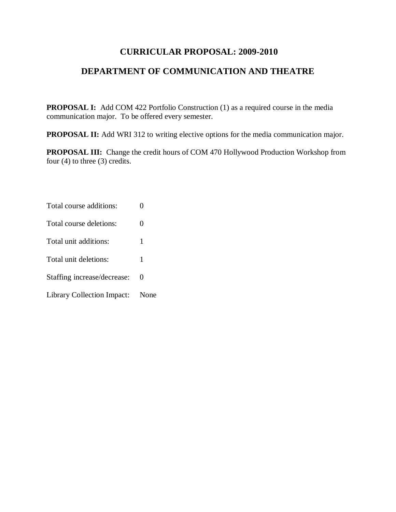# **CURRICULAR PROPOSAL: 2009-2010**

# **DEPARTMENT OF COMMUNICATION AND THEATRE**

**PROPOSAL I:** Add COM 422 Portfolio Construction (1) as a required course in the media communication major. To be offered every semester.

**PROPOSAL II:** Add WRI 312 to writing elective options for the media communication major.

**PROPOSAL III:** Change the credit hours of COM 470 Hollywood Production Workshop from four (4) to three (3) credits.

Total course additions: 0 Total course deletions: 0 Total unit additions: 1 Total unit deletions: 1 Staffing increase/decrease: 0 Library Collection Impact: None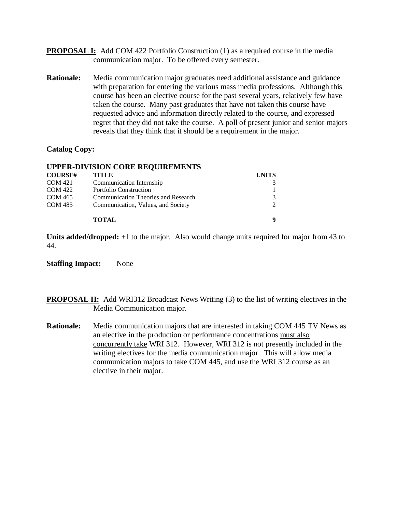- **PROPOSAL I:** Add COM 422 Portfolio Construction (1) as a required course in the media communication major. To be offered every semester.
- **Rationale:** Media communication major graduates need additional assistance and guidance with preparation for entering the various mass media professions. Although this course has been an elective course for the past several years, relatively few have taken the course. Many past graduates that have not taken this course have requested advice and information directly related to the course, and expressed regret that they did not take the course. A poll of present junior and senior majors reveals that they think that it should be a requirement in the major.

## **Catalog Copy:**

### **UPPER-DIVISION CORE REQUIREMENTS**

| <b>COURSE#</b> | <b>TITLE</b>                        | <b>UNITS</b> |
|----------------|-------------------------------------|--------------|
| <b>COM 421</b> | Communication Internship            |              |
| <b>COM 422</b> | Portfolio Construction              |              |
| <b>COM 465</b> | Communication Theories and Research |              |
| <b>COM 485</b> | Communication, Values, and Society  |              |
|                | <b>TOTAL</b>                        |              |

**Units added/dropped:** +1 to the major. Also would change units required for major from 43 to 44.

**Staffing Impact:** None

**PROPOSAL II:** Add WRI312 Broadcast News Writing (3) to the list of writing electives in the Media Communication major.

**Rationale:** Media communication majors that are interested in taking COM 445 TV News as an elective in the production or performance concentrations must also concurrently take WRI 312. However, WRI 312 is not presently included in the writing electives for the media communication major. This will allow media communication majors to take COM 445, and use the WRI 312 course as an elective in their major.